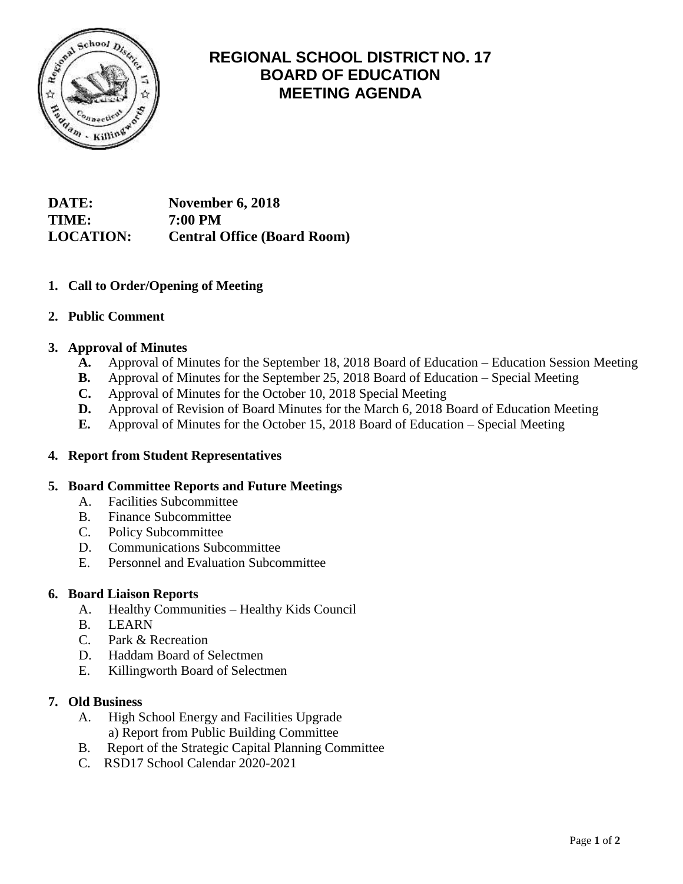

# **REGIONAL SCHOOL DISTRICT NO. 17 BOARD OF EDUCATION MEETING AGENDA**

**DATE: November 6, 2018 TIME: 7:00 PM LOCATION: Central Office (Board Room)**

## **1. Call to Order/Opening of Meeting**

## **2. Public Comment**

## **3. Approval of Minutes**

- **A.** Approval of Minutes for the September 18, 2018 Board of Education Education Session Meeting
- **B.** Approval of Minutes for the September 25, 2018 Board of Education Special Meeting
- **C.** Approval of Minutes for the October 10, 2018 Special Meeting
- **D.** Approval of Revision of Board Minutes for the March 6, 2018 Board of Education Meeting
- **E.** Approval of Minutes for the October 15, 2018 Board of Education Special Meeting

## **4. Report from Student Representatives**

## **5. Board Committee Reports and Future Meetings**

- A. Facilities Subcommittee
- B. Finance Subcommittee
- C. Policy Subcommittee
- D. Communications Subcommittee
- E. Personnel and Evaluation Subcommittee

## **6. Board Liaison Reports**

- A. Healthy Communities Healthy Kids Council
- B. LEARN
- C. Park & Recreation
- D. Haddam Board of Selectmen
- E. Killingworth Board of Selectmen

## **7. Old Business**

- A. High School Energy and Facilities Upgrade a) Report from Public Building Committee
- B. Report of the Strategic Capital Planning Committee
- C. RSD17 School Calendar 2020-2021